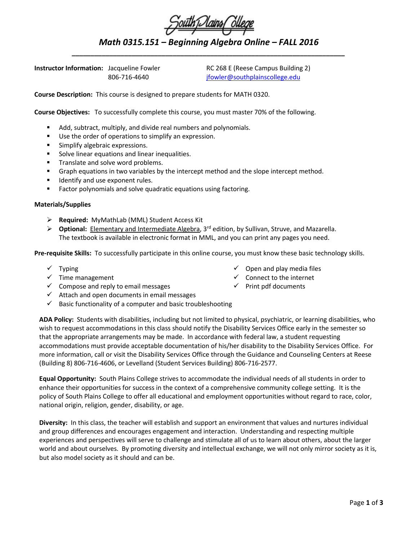## *Math 0315.151 – Beginning Algebra Online – FALL 2016 \_\_\_\_\_\_\_\_\_\_\_\_\_\_\_\_\_\_\_\_\_\_\_\_\_\_\_\_\_\_\_\_\_\_\_\_\_\_\_\_\_\_\_\_\_\_\_\_\_\_\_\_\_\_\_\_\_\_\_\_\_\_\_\_\_\_\_\_\_\_\_\_\_*

**Instructor Information:** Jacqueline Fowler RC 268 E (Reese Campus Building 2)

806-716-4640 [jfowler@southplainscollege.edu](mailto:jfowler@southplainscollege.edu)

**Course Description:** This course is designed to prepare students for MATH 0320.

**Course Objectives:** To successfully complete this course, you must master 70% of the following.

- Add, subtract, multiply, and divide real numbers and polynomials.
- Use the order of operations to simplify an expression.
- **Simplify algebraic expressions.**
- Solve linear equations and linear inequalities.
- Translate and solve word problems.
- Graph equations in two variables by the intercept method and the slope intercept method.
- **IDENTIFY AND USE EXPONENT TULES.**
- **Factor polynomials and solve quadratic equations using factoring.**

## **Materials/Supplies**

- **Required:** MyMathLab (MML) Student Access Kit
- **EX** Optional: Elementary and Intermediate Algebra, 3<sup>rd</sup> edition, by Sullivan, Struve, and Mazarella. The textbook is available in electronic format in MML, and you can print any pages you need.

**Pre-requisite Skills:** To successfully participate in this online course, you must know these basic technology skills.

- $\checkmark$  Typing
- $\checkmark$  Time management
- $\checkmark$  Compose and reply to email messages
- $\checkmark$  Attach and open documents in email messages
- $\checkmark$  Basic functionality of a computer and basic troubleshooting
- **ADA Policy:** Students with disabilities, including but not limited to physical, psychiatric, or learning disabilities, who wish to request accommodations in this class should notify the Disability Services Office early in the semester so that the appropriate arrangements may be made. In accordance with federal law, a student requesting accommodations must provide acceptable documentation of his/her disability to the Disability Services Office. For more information, call or visit the Disability Services Office through the Guidance and Counseling Centers at Reese

(Building 8) 806-716-4606, or Levelland (Student Services Building) 806-716-2577.

**Equal Opportunity:** South Plains College strives to accommodate the individual needs of all students in order to enhance their opportunities for success in the context of a comprehensive community college setting. It is the policy of South Plains College to offer all educational and employment opportunities without regard to race, color, national origin, religion, gender, disability, or age.

**Diversity:** In this class, the teacher will establish and support an environment that values and nurtures individual and group differences and encourages engagement and interaction. Understanding and respecting multiple experiences and perspectives will serve to challenge and stimulate all of us to learn about others, about the larger world and about ourselves. By promoting diversity and intellectual exchange, we will not only mirror society as it is, but also model society as it should and can be.

- $\checkmark$  Open and play media files
- $\checkmark$  Connect to the internet
- $\checkmark$  Print pdf documents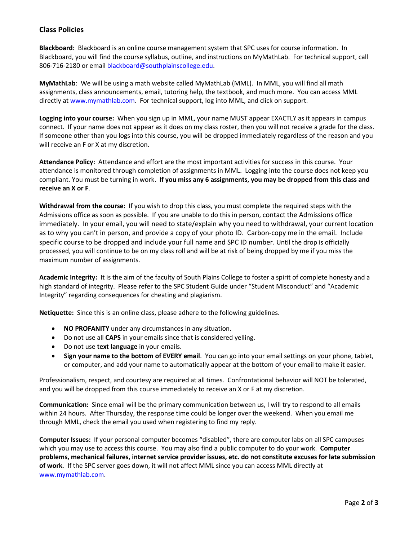## **Class Policies**

**Blackboard:** Blackboard is an online course management system that SPC uses for course information. In Blackboard, you will find the course syllabus, outline, and instructions on MyMathLab. For technical support, call 806-716-2180 or email [blackboard@southplainscollege.edu.](mailto:blackboard@southplainscollege.edu)

**MyMathLab**: We will be using a math website called MyMathLab (MML). In MML, you will find all math assignments, class announcements, email, tutoring help, the textbook, and much more. You can access MML directly at [www.mymathlab.com.](http://www.mymathlab.com/) For technical support, log into MML, and click on support.

**Logging into your course:** When you sign up in MML, your name MUST appear EXACTLY as it appears in campus connect. If your name does not appear as it does on my class roster, then you will not receive a grade for the class. If someone other than you logs into this course, you will be dropped immediately regardless of the reason and you will receive an F or X at my discretion.

**Attendance Policy:** Attendance and effort are the most important activities for success in this course. Your attendance is monitored through completion of assignments in MML. Logging into the course does not keep you compliant. You must be turning in work. **If you miss any 6 assignments, you may be dropped from this class and receive an X or F**.

**Withdrawal from the course:** If you wish to drop this class, you must complete the required steps with the Admissions office as soon as possible. If you are unable to do this in person, contact the Admissions office immediately. In your email, you will need to state/explain why you need to withdrawal, your current location as to why you can't in person, and provide a copy of your photo ID. Carbon-copy me in the email. Include specific course to be dropped and include your full name and SPC ID number. Until the drop is officially processed, you will continue to be on my class roll and will be at risk of being dropped by me if you miss the maximum number of assignments.

**Academic Integrity:** It is the aim of the faculty of South Plains College to foster a spirit of complete honesty and a high standard of integrity. Please refer to the SPC Student Guide under "Student Misconduct" and "Academic Integrity" regarding consequences for cheating and plagiarism.

**Netiquette:** Since this is an online class, please adhere to the following guidelines.

- **NO PROFANITY** under any circumstances in any situation.
- Do not use all **CAPS** in your emails since that is considered yelling.
- Do not use **text language** in your emails.
- **Sign your name to the bottom of EVERY email**. You can go into your email settings on your phone, tablet, or computer, and add your name to automatically appear at the bottom of your email to make it easier.

Professionalism, respect, and courtesy are required at all times. Confrontational behavior will NOT be tolerated, and you will be dropped from this course immediately to receive an X or F at my discretion.

**Communication:** Since email will be the primary communication between us, I will try to respond to all emails within 24 hours. After Thursday, the response time could be longer over the weekend. When you email me through MML, check the email you used when registering to find my reply.

**Computer Issues:** If your personal computer becomes "disabled", there are computer labs on all SPC campuses which you may use to access this course. You may also find a public computer to do your work. **Computer problems, mechanical failures, internet service provider issues, etc. do not constitute excuses for late submission of work.** If the SPC server goes down, it will not affect MML since you can access MML directly at [www.mymathlab.com.](http://www.mymathlab.com/)